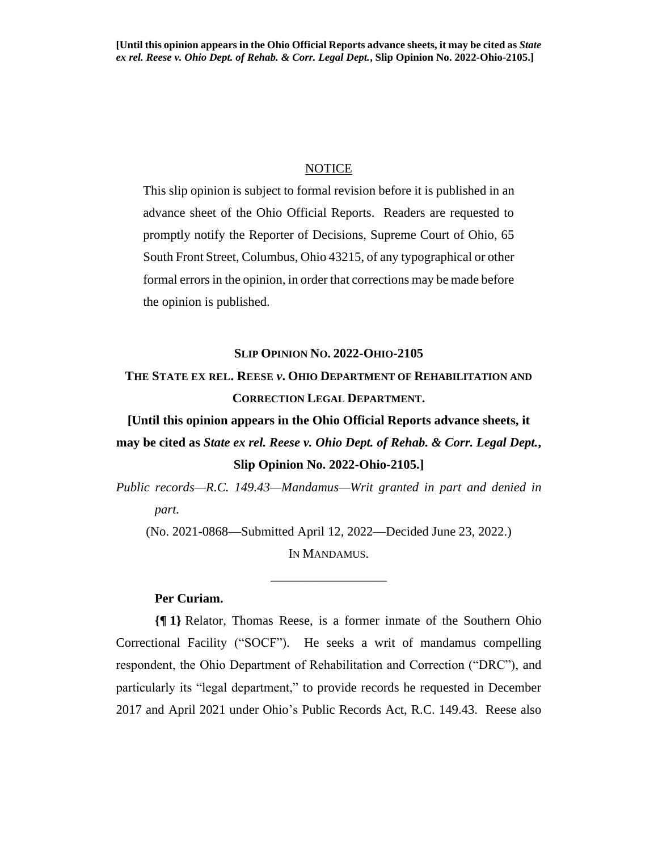### NOTICE

This slip opinion is subject to formal revision before it is published in an advance sheet of the Ohio Official Reports. Readers are requested to promptly notify the Reporter of Decisions, Supreme Court of Ohio, 65 South Front Street, Columbus, Ohio 43215, of any typographical or other formal errors in the opinion, in order that corrections may be made before the opinion is published.

#### **SLIP OPINION NO. 2022-OHIO-2105**

## **THE STATE EX REL. REESE** *v***. OHIO DEPARTMENT OF REHABILITATION AND CORRECTION LEGAL DEPARTMENT.**

# **[Until this opinion appears in the Ohio Official Reports advance sheets, it may be cited as** *State ex rel. Reese v. Ohio Dept. of Rehab. & Corr. Legal Dept.***, Slip Opinion No. 2022-Ohio-2105.]**

*Public records—R.C. 149.43—Mandamus—Writ granted in part and denied in part.*

(No. 2021-0868—Submitted April 12, 2022—Decided June 23, 2022.) IN MANDAMUS.

\_\_\_\_\_\_\_\_\_\_\_\_\_\_\_\_\_\_

## **Per Curiam.**

**{¶ 1}** Relator, Thomas Reese, is a former inmate of the Southern Ohio Correctional Facility ("SOCF"). He seeks a writ of mandamus compelling respondent, the Ohio Department of Rehabilitation and Correction ("DRC"), and particularly its "legal department," to provide records he requested in December 2017 and April 2021 under Ohio's Public Records Act, R.C. 149.43. Reese also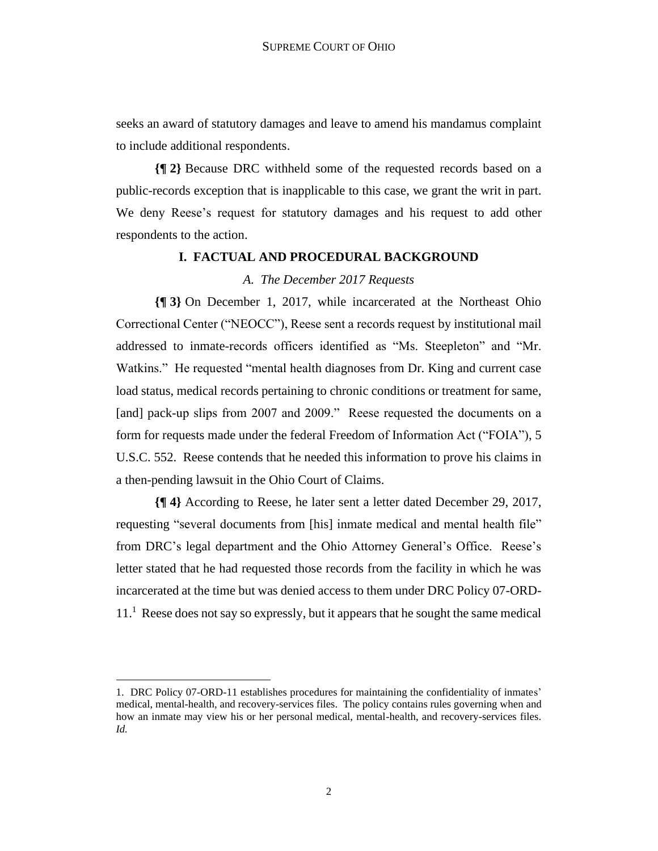seeks an award of statutory damages and leave to amend his mandamus complaint to include additional respondents.

**{¶ 2}** Because DRC withheld some of the requested records based on a public-records exception that is inapplicable to this case, we grant the writ in part. We deny Reese's request for statutory damages and his request to add other respondents to the action.

## **I. FACTUAL AND PROCEDURAL BACKGROUND**

## *A. The December 2017 Requests*

**{¶ 3}** On December 1, 2017, while incarcerated at the Northeast Ohio Correctional Center ("NEOCC"), Reese sent a records request by institutional mail addressed to inmate-records officers identified as "Ms. Steepleton" and "Mr. Watkins." He requested "mental health diagnoses from Dr. King and current case load status, medical records pertaining to chronic conditions or treatment for same, [and] pack-up slips from 2007 and 2009." Reese requested the documents on a form for requests made under the federal Freedom of Information Act ("FOIA"), 5 U.S.C. 552. Reese contends that he needed this information to prove his claims in a then-pending lawsuit in the Ohio Court of Claims.

**{¶ 4}** According to Reese, he later sent a letter dated December 29, 2017, requesting "several documents from [his] inmate medical and mental health file" from DRC's legal department and the Ohio Attorney General's Office. Reese's letter stated that he had requested those records from the facility in which he was incarcerated at the time but was denied access to them under DRC Policy 07-ORD-11.<sup>1</sup> Reese does not say so expressly, but it appears that he sought the same medical

<sup>1.</sup> DRC Policy 07-ORD-11 establishes procedures for maintaining the confidentiality of inmates' medical, mental-health, and recovery-services files. The policy contains rules governing when and how an inmate may view his or her personal medical, mental-health, and recovery-services files. *Id.*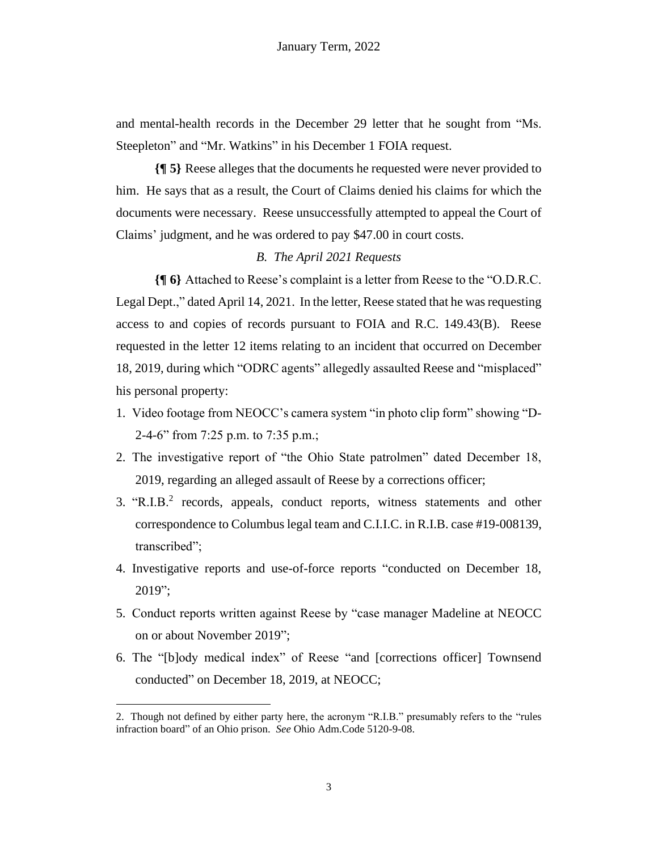and mental-health records in the December 29 letter that he sought from "Ms. Steepleton" and "Mr. Watkins" in his December 1 FOIA request.

**{¶ 5}** Reese alleges that the documents he requested were never provided to him. He says that as a result, the Court of Claims denied his claims for which the documents were necessary. Reese unsuccessfully attempted to appeal the Court of Claims' judgment, and he was ordered to pay \$47.00 in court costs.

## *B. The April 2021 Requests*

**{¶ 6}** Attached to Reese's complaint is a letter from Reese to the "O.D.R.C. Legal Dept.," dated April 14, 2021. In the letter, Reese stated that he was requesting access to and copies of records pursuant to FOIA and R.C. 149.43(B). Reese requested in the letter 12 items relating to an incident that occurred on December 18, 2019, during which "ODRC agents" allegedly assaulted Reese and "misplaced" his personal property:

- 1. Video footage from NEOCC's camera system "in photo clip form" showing "D-2-4-6" from 7:25 p.m. to 7:35 p.m.;
- 2. The investigative report of "the Ohio State patrolmen" dated December 18, 2019, regarding an alleged assault of Reese by a corrections officer;
- 3. "R.I.B.<sup>2</sup> records, appeals, conduct reports, witness statements and other correspondence to Columbus legal team and C.I.I.C. in R.I.B. case #19-008139, transcribed";
- 4. Investigative reports and use-of-force reports "conducted on December 18, 2019";
- 5. Conduct reports written against Reese by "case manager Madeline at NEOCC on or about November 2019";
- 6. The "[b]ody medical index" of Reese "and [corrections officer] Townsend conducted" on December 18, 2019, at NEOCC;

<sup>2.</sup> Though not defined by either party here, the acronym "R.I.B." presumably refers to the "rules infraction board" of an Ohio prison. *See* Ohio Adm.Code 5120-9-08.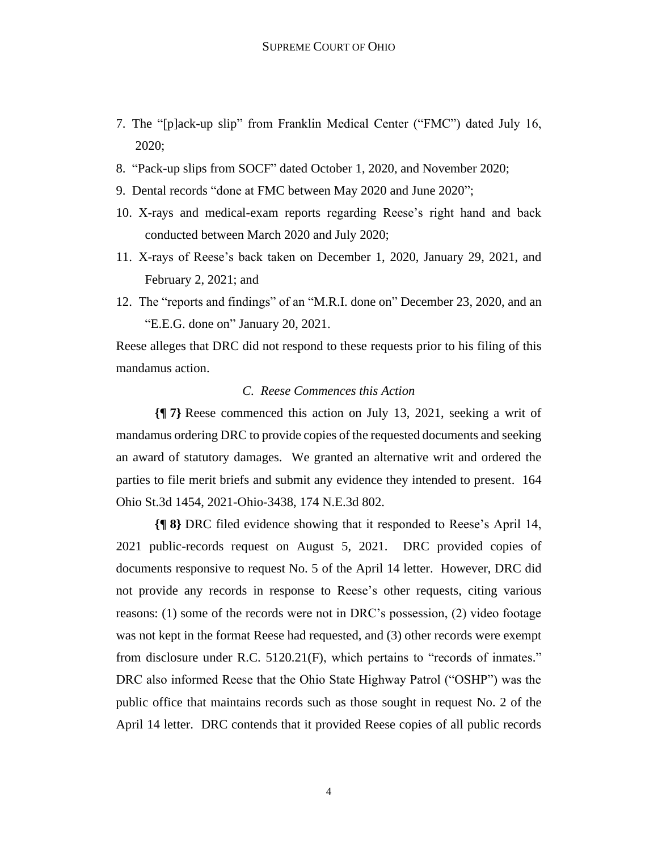- 7. The "[p]ack-up slip" from Franklin Medical Center ("FMC") dated July 16, 2020;
- 8. "Pack-up slips from SOCF" dated October 1, 2020, and November 2020;
- 9. Dental records "done at FMC between May 2020 and June 2020";
- 10. X-rays and medical-exam reports regarding Reese's right hand and back conducted between March 2020 and July 2020;
- 11. X-rays of Reese's back taken on December 1, 2020, January 29, 2021, and February 2, 2021; and
- 12. The "reports and findings" of an "M.R.I. done on" December 23, 2020, and an "E.E.G. done on" January 20, 2021.

Reese alleges that DRC did not respond to these requests prior to his filing of this mandamus action.

#### *C. Reese Commences this Action*

**{¶ 7}** Reese commenced this action on July 13, 2021, seeking a writ of mandamus ordering DRC to provide copies of the requested documents and seeking an award of statutory damages. We granted an alternative writ and ordered the parties to file merit briefs and submit any evidence they intended to present. 164 Ohio St.3d 1454, 2021-Ohio-3438, 174 N.E.3d 802.

**{¶ 8}** DRC filed evidence showing that it responded to Reese's April 14, 2021 public-records request on August 5, 2021. DRC provided copies of documents responsive to request No. 5 of the April 14 letter. However, DRC did not provide any records in response to Reese's other requests, citing various reasons: (1) some of the records were not in DRC's possession, (2) video footage was not kept in the format Reese had requested, and (3) other records were exempt from disclosure under R.C. 5120.21(F), which pertains to "records of inmates." DRC also informed Reese that the Ohio State Highway Patrol ("OSHP") was the public office that maintains records such as those sought in request No. 2 of the April 14 letter. DRC contends that it provided Reese copies of all public records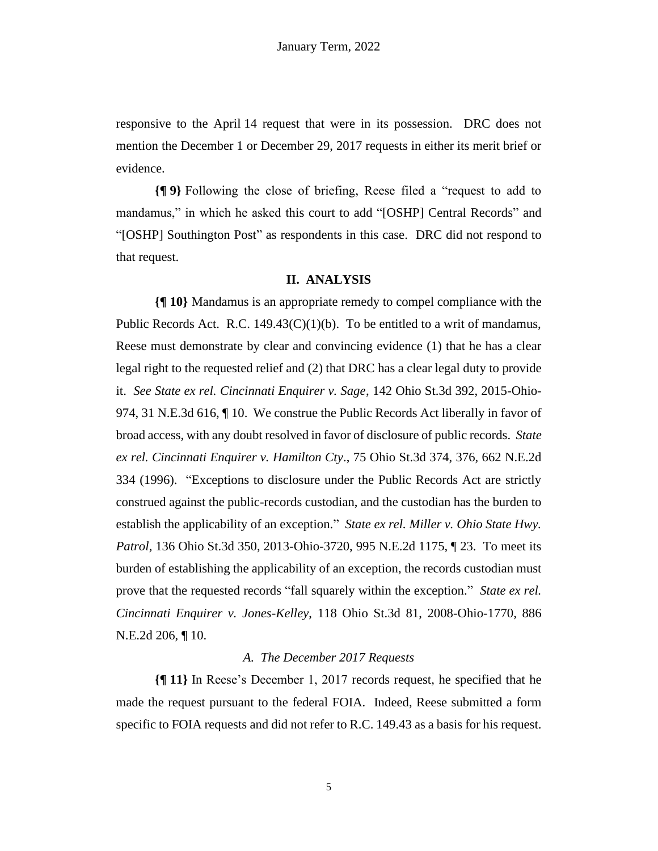responsive to the April 14 request that were in its possession. DRC does not mention the December 1 or December 29, 2017 requests in either its merit brief or evidence.

**{¶ 9}** Following the close of briefing, Reese filed a "request to add to mandamus," in which he asked this court to add "[OSHP] Central Records" and "[OSHP] Southington Post" as respondents in this case. DRC did not respond to that request.

#### **II. ANALYSIS**

**{¶ 10}** Mandamus is an appropriate remedy to compel compliance with the Public Records Act. R.C.  $149.43(C)(1)(b)$ . To be entitled to a writ of mandamus, Reese must demonstrate by clear and convincing evidence (1) that he has a clear legal right to the requested relief and (2) that DRC has a clear legal duty to provide it. *See State ex rel. Cincinnati Enquirer v. Sage*, 142 Ohio St.3d 392, 2015-Ohio-974, 31 N.E.3d 616, ¶ 10. We construe the Public Records Act liberally in favor of broad access, with any doubt resolved in favor of disclosure of public records. *State ex rel. Cincinnati Enquirer v. Hamilton Cty*., 75 Ohio St.3d 374, 376, 662 N.E.2d 334 (1996). "Exceptions to disclosure under the Public Records Act are strictly construed against the public-records custodian, and the custodian has the burden to establish the applicability of an exception." *State ex rel. Miller v. Ohio State Hwy. Patrol*, 136 Ohio St.3d 350, 2013-Ohio-3720, 995 N.E.2d 1175, ¶ 23. To meet its burden of establishing the applicability of an exception, the records custodian must prove that the requested records "fall squarely within the exception." *State ex rel. Cincinnati Enquirer v. Jones-Kelley*, 118 Ohio St.3d 81, 2008-Ohio-1770, 886 N.E.2d 206, ¶ 10.

## *A. The December 2017 Requests*

**{¶ 11}** In Reese's December 1, 2017 records request, he specified that he made the request pursuant to the federal FOIA. Indeed, Reese submitted a form specific to FOIA requests and did not refer to R.C. 149.43 as a basis for his request.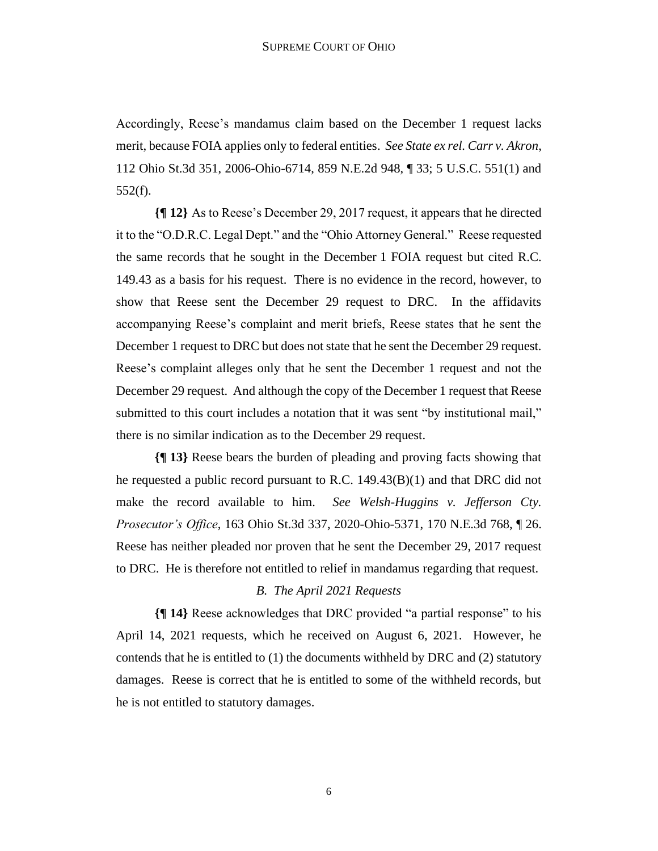Accordingly, Reese's mandamus claim based on the December 1 request lacks merit, because FOIA applies only to federal entities. *See State ex rel. Carr v. Akron*, 112 Ohio St.3d 351, 2006-Ohio-6714, 859 N.E.2d 948, ¶ 33; 5 U.S.C. 551(1) and 552(f).

**{¶ 12}** As to Reese's December 29, 2017 request, it appears that he directed it to the "O.D.R.C. Legal Dept." and the "Ohio Attorney General." Reese requested the same records that he sought in the December 1 FOIA request but cited R.C. 149.43 as a basis for his request. There is no evidence in the record, however, to show that Reese sent the December 29 request to DRC. In the affidavits accompanying Reese's complaint and merit briefs, Reese states that he sent the December 1 request to DRC but does not state that he sent the December 29 request. Reese's complaint alleges only that he sent the December 1 request and not the December 29 request. And although the copy of the December 1 request that Reese submitted to this court includes a notation that it was sent "by institutional mail," there is no similar indication as to the December 29 request.

**{¶ 13}** Reese bears the burden of pleading and proving facts showing that he requested a public record pursuant to R.C. 149.43(B)(1) and that DRC did not make the record available to him. *See Welsh-Huggins v. Jefferson Cty. Prosecutor's Office*, 163 Ohio St.3d 337, 2020-Ohio-5371, 170 N.E.3d 768, ¶ 26. Reese has neither pleaded nor proven that he sent the December 29, 2017 request to DRC. He is therefore not entitled to relief in mandamus regarding that request.

## *B. The April 2021 Requests*

**{¶ 14}** Reese acknowledges that DRC provided "a partial response" to his April 14, 2021 requests, which he received on August 6, 2021. However, he contends that he is entitled to (1) the documents withheld by DRC and (2) statutory damages. Reese is correct that he is entitled to some of the withheld records, but he is not entitled to statutory damages.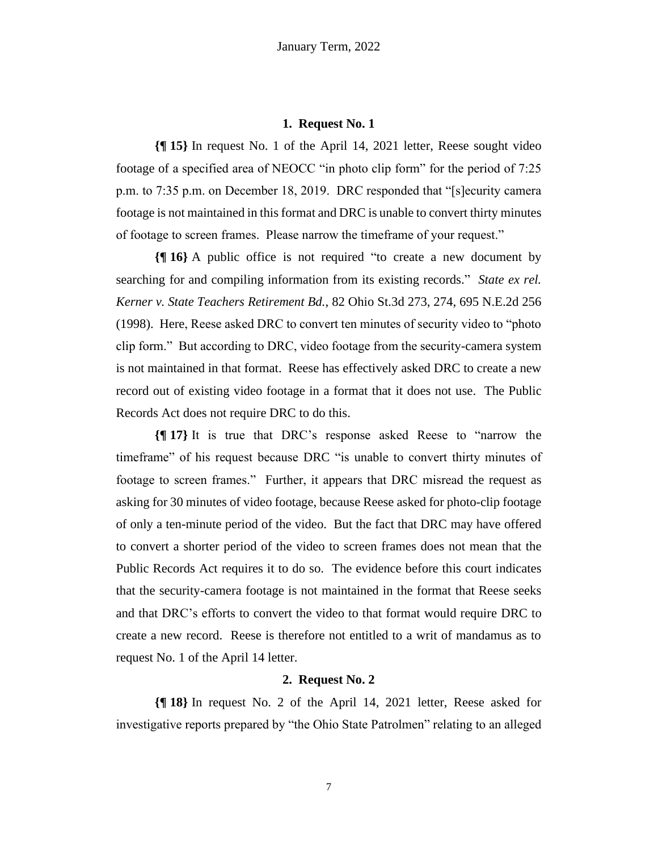## **1. Request No. 1**

**{¶ 15}** In request No. 1 of the April 14, 2021 letter, Reese sought video footage of a specified area of NEOCC "in photo clip form" for the period of 7:25 p.m. to 7:35 p.m. on December 18, 2019. DRC responded that "[s]ecurity camera footage is not maintained in this format and DRC is unable to convert thirty minutes of footage to screen frames. Please narrow the timeframe of your request."

**{¶ 16}** A public office is not required "to create a new document by searching for and compiling information from its existing records." *State ex rel. Kerner v. State Teachers Retirement Bd.*, 82 Ohio St.3d 273, 274, 695 N.E.2d 256 (1998). Here, Reese asked DRC to convert ten minutes of security video to "photo clip form." But according to DRC, video footage from the security-camera system is not maintained in that format. Reese has effectively asked DRC to create a new record out of existing video footage in a format that it does not use. The Public Records Act does not require DRC to do this.

**{¶ 17}** It is true that DRC's response asked Reese to "narrow the timeframe" of his request because DRC "is unable to convert thirty minutes of footage to screen frames." Further, it appears that DRC misread the request as asking for 30 minutes of video footage, because Reese asked for photo-clip footage of only a ten-minute period of the video. But the fact that DRC may have offered to convert a shorter period of the video to screen frames does not mean that the Public Records Act requires it to do so. The evidence before this court indicates that the security-camera footage is not maintained in the format that Reese seeks and that DRC's efforts to convert the video to that format would require DRC to create a new record. Reese is therefore not entitled to a writ of mandamus as to request No. 1 of the April 14 letter.

### **2. Request No. 2**

**{¶ 18}** In request No. 2 of the April 14, 2021 letter, Reese asked for investigative reports prepared by "the Ohio State Patrolmen" relating to an alleged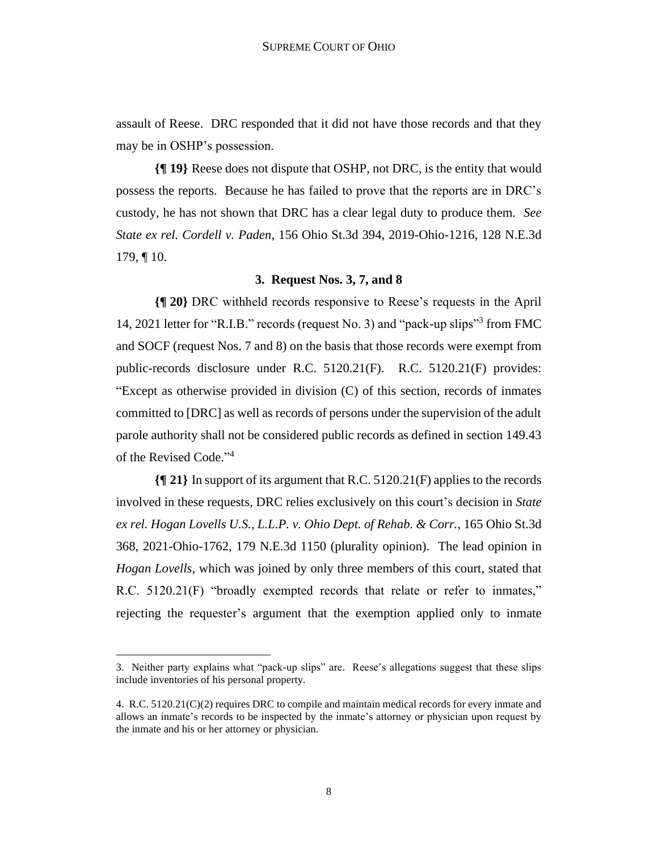assault of Reese. DRC responded that it did not have those records and that they may be in OSHP's possession.

**{¶ 19}** Reese does not dispute that OSHP, not DRC, is the entity that would possess the reports. Because he has failed to prove that the reports are in DRC's custody, he has not shown that DRC has a clear legal duty to produce them. *See State ex rel. Cordell v. Paden*, 156 Ohio St.3d 394, 2019-Ohio-1216, 128 N.E.3d 179, ¶ 10.

## **3. Request Nos. 3, 7, and 8**

**{¶ 20}** DRC withheld records responsive to Reese's requests in the April 14, 2021 letter for "R.I.B." records (request No. 3) and "pack-up slips"<sup>3</sup> from FMC and SOCF (request Nos. 7 and 8) on the basis that those records were exempt from public-records disclosure under R.C. 5120.21(F). R.C. 5120.21(F) provides: "Except as otherwise provided in division (C) of this section, records of inmates committed to [DRC] as well as records of persons under the supervision of the adult parole authority shall not be considered public records as defined in section 149.43 of the Revised Code." 4

**{¶ 21}** In support of its argument that R.C. 5120.21(F) applies to the records involved in these requests, DRC relies exclusively on this court's decision in *State ex rel. Hogan Lovells U.S., L.L.P. v. Ohio Dept. of Rehab. & Corr.*, 165 Ohio St.3d 368, 2021-Ohio-1762, 179 N.E.3d 1150 (plurality opinion). The lead opinion in *Hogan Lovells*, which was joined by only three members of this court, stated that R.C. 5120.21(F) "broadly exempted records that relate or refer to inmates," rejecting the requester's argument that the exemption applied only to inmate

<sup>3.</sup> Neither party explains what "pack-up slips" are. Reese's allegations suggest that these slips include inventories of his personal property.

<sup>4.</sup> R.C. 5120.21(C)(2) requires DRC to compile and maintain medical records for every inmate and allows an inmate's records to be inspected by the inmate's attorney or physician upon request by the inmate and his or her attorney or physician.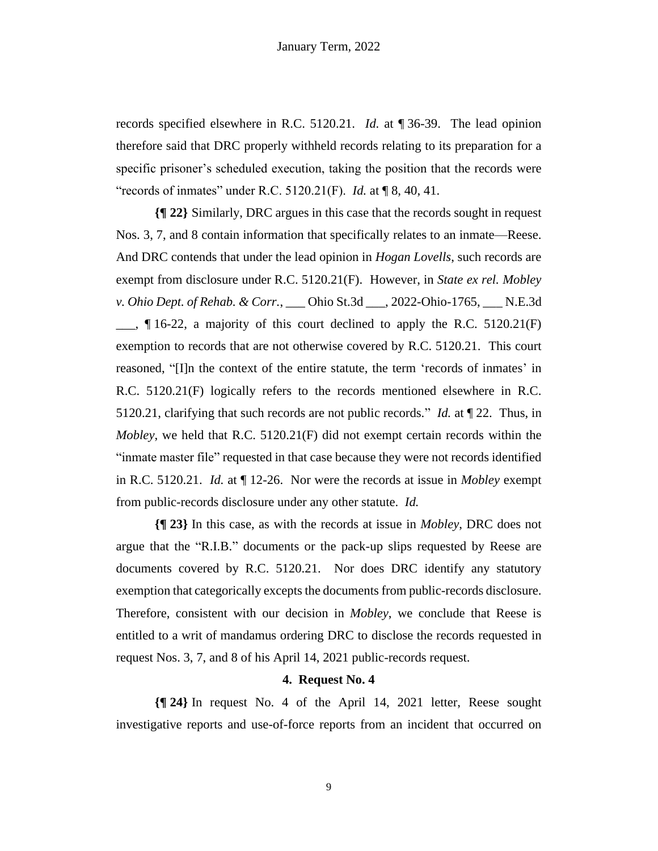records specified elsewhere in R.C. 5120.21. *Id.* at ¶ 36-39. The lead opinion therefore said that DRC properly withheld records relating to its preparation for a specific prisoner's scheduled execution, taking the position that the records were "records of inmates" under R.C. 5120.21(F). *Id.* at ¶ 8, 40, 41.

**{¶ 22}** Similarly, DRC argues in this case that the records sought in request Nos. 3, 7, and 8 contain information that specifically relates to an inmate—Reese. And DRC contends that under the lead opinion in *Hogan Lovells*, such records are exempt from disclosure under R.C. 5120.21(F). However, in *State ex rel. Mobley v. Ohio Dept. of Rehab. & Corr.*, \_\_\_ Ohio St.3d \_\_\_, 2022-Ohio-1765, \_\_\_ N.E.3d  $\Box$ , ¶ 16-22, a majority of this court declined to apply the R.C. 5120.21(F) exemption to records that are not otherwise covered by R.C. 5120.21. This court reasoned, "[I]n the context of the entire statute, the term 'records of inmates' in R.C. 5120.21(F) logically refers to the records mentioned elsewhere in R.C. 5120.21, clarifying that such records are not public records." *Id.* at ¶ 22. Thus, in *Mobley*, we held that R.C. 5120.21(F) did not exempt certain records within the "inmate master file" requested in that case because they were not records identified in R.C. 5120.21. *Id.* at ¶ 12-26. Nor were the records at issue in *Mobley* exempt from public-records disclosure under any other statute. *Id.*

**{¶ 23}** In this case, as with the records at issue in *Mobley*, DRC does not argue that the "R.I.B." documents or the pack-up slips requested by Reese are documents covered by R.C. 5120.21. Nor does DRC identify any statutory exemption that categorically excepts the documents from public-records disclosure. Therefore, consistent with our decision in *Mobley*, we conclude that Reese is entitled to a writ of mandamus ordering DRC to disclose the records requested in request Nos. 3, 7, and 8 of his April 14, 2021 public-records request.

## **4. Request No. 4**

**{¶ 24}** In request No. 4 of the April 14, 2021 letter, Reese sought investigative reports and use-of-force reports from an incident that occurred on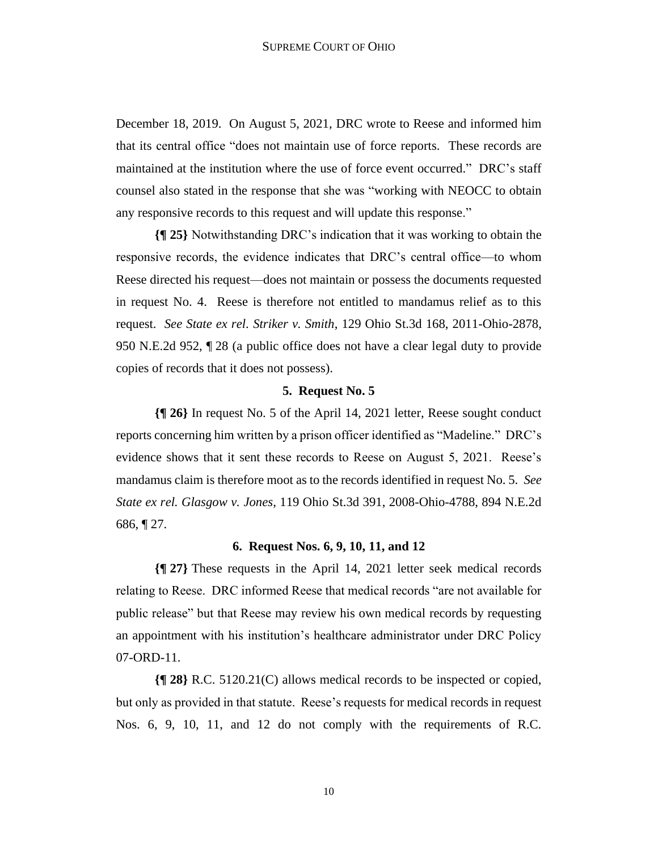December 18, 2019. On August 5, 2021, DRC wrote to Reese and informed him that its central office "does not maintain use of force reports. These records are maintained at the institution where the use of force event occurred." DRC's staff counsel also stated in the response that she was "working with NEOCC to obtain any responsive records to this request and will update this response."

**{¶ 25}** Notwithstanding DRC's indication that it was working to obtain the responsive records, the evidence indicates that DRC's central office—to whom Reese directed his request—does not maintain or possess the documents requested in request No. 4. Reese is therefore not entitled to mandamus relief as to this request. *See State ex rel. Striker v. Smith*, 129 Ohio St.3d 168, 2011-Ohio-2878, 950 N.E.2d 952, ¶ 28 (a public office does not have a clear legal duty to provide copies of records that it does not possess).

## **5. Request No. 5**

**{¶ 26}** In request No. 5 of the April 14, 2021 letter, Reese sought conduct reports concerning him written by a prison officer identified as "Madeline." DRC's evidence shows that it sent these records to Reese on August 5, 2021. Reese's mandamus claim is therefore moot as to the records identified in request No. 5. *See State ex rel. Glasgow v. Jones*, 119 Ohio St.3d 391, 2008-Ohio-4788, 894 N.E.2d 686, ¶ 27.

### **6. Request Nos. 6, 9, 10, 11, and 12**

**{¶ 27}** These requests in the April 14, 2021 letter seek medical records relating to Reese. DRC informed Reese that medical records "are not available for public release" but that Reese may review his own medical records by requesting an appointment with his institution's healthcare administrator under DRC Policy 07-ORD-11.

**{¶ 28}** R.C. 5120.21(C) allows medical records to be inspected or copied, but only as provided in that statute. Reese's requests for medical records in request Nos. 6, 9, 10, 11, and 12 do not comply with the requirements of R.C.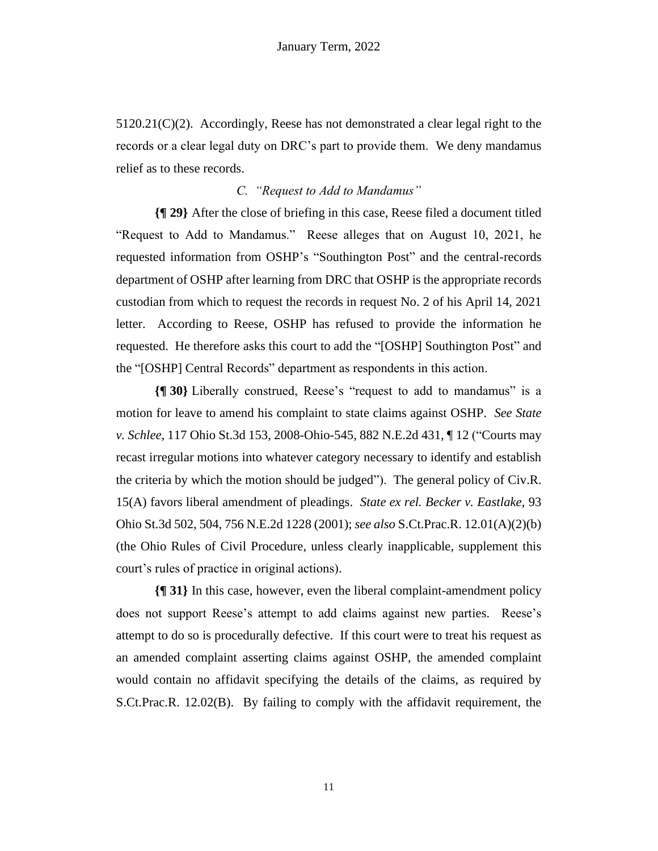$5120.21(C)(2)$ . Accordingly, Reese has not demonstrated a clear legal right to the records or a clear legal duty on DRC's part to provide them. We deny mandamus relief as to these records.

## *C. "Request to Add to Mandamus"*

**{¶ 29}** After the close of briefing in this case, Reese filed a document titled "Request to Add to Mandamus." Reese alleges that on August 10, 2021, he requested information from OSHP's "Southington Post" and the central-records department of OSHP after learning from DRC that OSHP is the appropriate records custodian from which to request the records in request No. 2 of his April 14, 2021 letter. According to Reese, OSHP has refused to provide the information he requested. He therefore asks this court to add the "[OSHP] Southington Post" and the "[OSHP] Central Records" department as respondents in this action.

**{¶ 30}** Liberally construed, Reese's "request to add to mandamus" is a motion for leave to amend his complaint to state claims against OSHP. *See State v. Schlee*, 117 Ohio St.3d 153, 2008-Ohio-545, 882 N.E.2d 431, ¶ 12 ("Courts may recast irregular motions into whatever category necessary to identify and establish the criteria by which the motion should be judged"). The general policy of Civ.R. 15(A) favors liberal amendment of pleadings. *State ex rel. Becker v. Eastlake*, 93 Ohio St.3d 502, 504, 756 N.E.2d 1228 (2001); *see also* S.Ct.Prac.R. 12.01(A)(2)(b) (the Ohio Rules of Civil Procedure, unless clearly inapplicable, supplement this court's rules of practice in original actions).

**{¶ 31}** In this case, however, even the liberal complaint-amendment policy does not support Reese's attempt to add claims against new parties. Reese's attempt to do so is procedurally defective. If this court were to treat his request as an amended complaint asserting claims against OSHP, the amended complaint would contain no affidavit specifying the details of the claims, as required by S.Ct.Prac.R. 12.02(B). By failing to comply with the affidavit requirement, the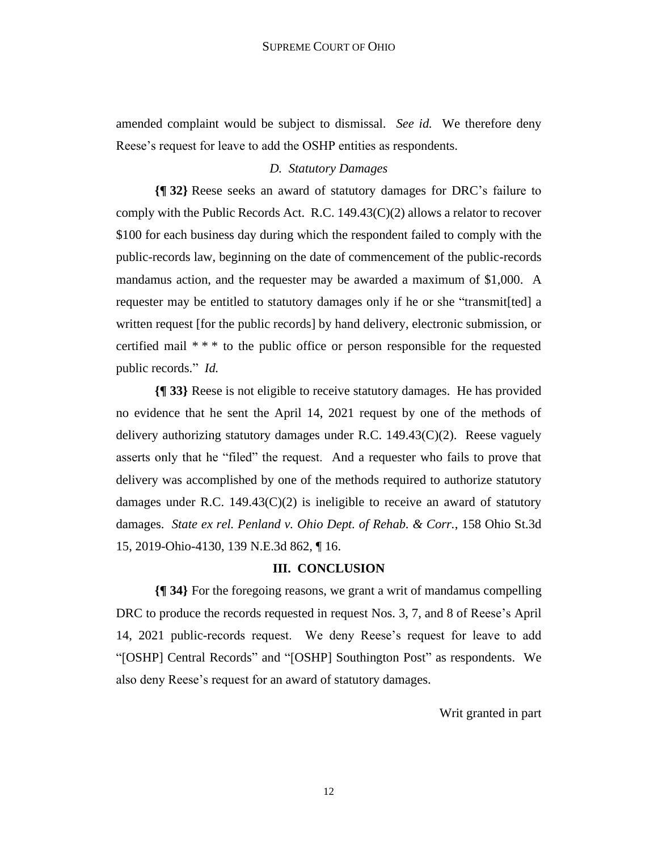amended complaint would be subject to dismissal. *See id.* We therefore deny Reese's request for leave to add the OSHP entities as respondents.

## *D. Statutory Damages*

**{¶ 32}** Reese seeks an award of statutory damages for DRC's failure to comply with the Public Records Act. R.C. 149.43(C)(2) allows a relator to recover \$100 for each business day during which the respondent failed to comply with the public-records law, beginning on the date of commencement of the public-records mandamus action, and the requester may be awarded a maximum of \$1,000. A requester may be entitled to statutory damages only if he or she "transmit[ted] a written request [for the public records] by hand delivery, electronic submission, or certified mail \* \* \* to the public office or person responsible for the requested public records." *Id.*

**{¶ 33}** Reese is not eligible to receive statutory damages. He has provided no evidence that he sent the April 14, 2021 request by one of the methods of delivery authorizing statutory damages under R.C.  $149.43(C)(2)$ . Reese vaguely asserts only that he "filed" the request. And a requester who fails to prove that delivery was accomplished by one of the methods required to authorize statutory damages under R.C.  $149.43(C)(2)$  is ineligible to receive an award of statutory damages. *State ex rel. Penland v. Ohio Dept. of Rehab. & Corr.*, 158 Ohio St.3d 15, 2019-Ohio-4130, 139 N.E.3d 862, ¶ 16.

#### **III. CONCLUSION**

**{¶ 34}** For the foregoing reasons, we grant a writ of mandamus compelling DRC to produce the records requested in request Nos. 3, 7, and 8 of Reese's April 14, 2021 public-records request. We deny Reese's request for leave to add "[OSHP] Central Records" and "[OSHP] Southington Post" as respondents. We also deny Reese's request for an award of statutory damages.

Writ granted in part